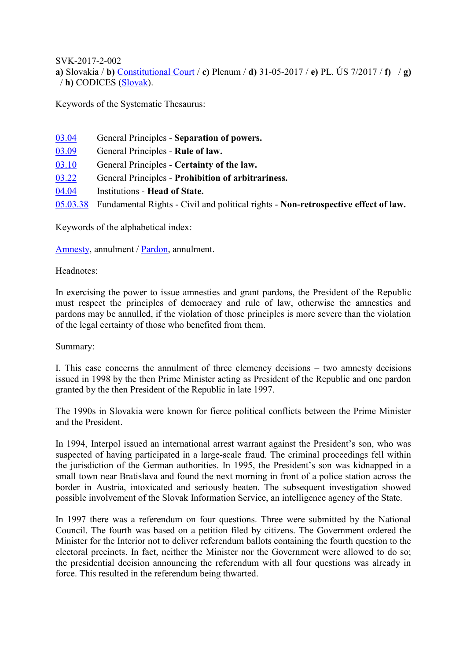SVK-2017-2-002

**a)** Slovakia / **b)** [Constitutional Court](http://www.codices.coe.int/NXT/gateway.dll/Codices/Descriptions/ENG/EUR/SVK?f=templates$fn=document-frameset.htm$q=$uq=$x=$up=1#0-0-0-46327) / **c)** Plenum / **d)** 31-05-2017 / **e)** PL. ÚS 7/2017 / **f)** / **g)**  / **h)** CODICES [\(Slovak\)](http://www.codices.coe.int/NXT/gateway.dll/Codices/Full/EUR/SVK/SVK/SVK-2017-2-002?f=templates$fn=document-frameset.htm$q=$uq=$x=$up=1#0-0-0-46335).

Keywords of the Systematic Thesaurus:

| 03.04    | General Principles - Separation of powers.                                         |
|----------|------------------------------------------------------------------------------------|
| 03.09    | General Principles - Rule of law.                                                  |
| 03.10    | General Principles - Certainty of the law.                                         |
| 03.22    | General Principles - Prohibition of arbitrariness.                                 |
| 04.04    | Institutions - Head of State.                                                      |
| 05.03.38 | Fundamental Rights - Civil and political rights - Non-retrospective effect of law. |

Keywords of the alphabetical index:

[Amnesty,](http://www.codices.coe.int/NXT/gateway.dll?f=jumplink$jumplink_x=Advanced$jumplink_vpc=first$jumplink_xsl=querylink.xsl$jumplink_sel=title;path;content-type;home-title;item-bookmark$jumplink_d=%7BCodices%7D$jumplink_q=%5bfield%20E_Alphabetical%20Index:%22Amnesty%22%5d) annulment / [Pardon,](http://www.codices.coe.int/NXT/gateway.dll?f=jumplink$jumplink_x=Advanced$jumplink_vpc=first$jumplink_xsl=querylink.xsl$jumplink_sel=title;path;content-type;home-title;item-bookmark$jumplink_d=%7BCodices%7D$jumplink_q=%5bfield%20E_Alphabetical%20Index:%22Pardon%22%5d) annulment.

Headnotes:

In exercising the power to issue amnesties and grant pardons, the President of the Republic must respect the principles of democracy and rule of law, otherwise the amnesties and pardons may be annulled, if the violation of those principles is more severe than the violation of the legal certainty of those who benefited from them.

Summary:

I. This case concerns the annulment of three clemency decisions – two amnesty decisions issued in 1998 by the then Prime Minister acting as President of the Republic and one pardon granted by the then President of the Republic in late 1997.

The 1990s in Slovakia were known for fierce political conflicts between the Prime Minister and the President.

In 1994, Interpol issued an international arrest warrant against the President's son, who was suspected of having participated in a large-scale fraud. The criminal proceedings fell within the jurisdiction of the German authorities. In 1995, the President's son was kidnapped in a small town near Bratislava and found the next morning in front of a police station across the border in Austria, intoxicated and seriously beaten. The subsequent investigation showed possible involvement of the Slovak Information Service, an intelligence agency of the State.

In 1997 there was a referendum on four questions. Three were submitted by the National Council. The fourth was based on a petition filed by citizens. The Government ordered the Minister for the Interior not to deliver referendum ballots containing the fourth question to the electoral precincts. In fact, neither the Minister nor the Government were allowed to do so; the presidential decision announcing the referendum with all four questions was already in force. This resulted in the referendum being thwarted.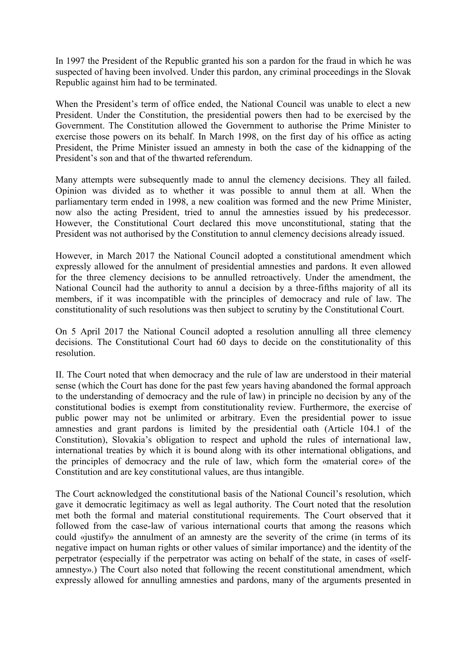In 1997 the President of the Republic granted his son a pardon for the fraud in which he was suspected of having been involved. Under this pardon, any criminal proceedings in the Slovak Republic against him had to be terminated.

When the President's term of office ended, the National Council was unable to elect a new President. Under the Constitution, the presidential powers then had to be exercised by the Government. The Constitution allowed the Government to authorise the Prime Minister to exercise those powers on its behalf. In March 1998, on the first day of his office as acting President, the Prime Minister issued an amnesty in both the case of the kidnapping of the President's son and that of the thwarted referendum.

Many attempts were subsequently made to annul the clemency decisions. They all failed. Opinion was divided as to whether it was possible to annul them at all. When the parliamentary term ended in 1998, a new coalition was formed and the new Prime Minister, now also the acting President, tried to annul the amnesties issued by his predecessor. However, the Constitutional Court declared this move unconstitutional, stating that the President was not authorised by the Constitution to annul clemency decisions already issued.

However, in March 2017 the National Council adopted a constitutional amendment which expressly allowed for the annulment of presidential amnesties and pardons. It even allowed for the three clemency decisions to be annulled retroactively. Under the amendment, the National Council had the authority to annul a decision by a three-fifths majority of all its members, if it was incompatible with the principles of democracy and rule of law. The constitutionality of such resolutions was then subject to scrutiny by the Constitutional Court.

On 5 April 2017 the National Council adopted a resolution annulling all three clemency decisions. The Constitutional Court had 60 days to decide on the constitutionality of this resolution.

II. The Court noted that when democracy and the rule of law are understood in their material sense (which the Court has done for the past few years having abandoned the formal approach to the understanding of democracy and the rule of law) in principle no decision by any of the constitutional bodies is exempt from constitutionality review. Furthermore, the exercise of public power may not be unlimited or arbitrary. Even the presidential power to issue amnesties and grant pardons is limited by the presidential oath (Article 104.1 of the Constitution), Slovakia's obligation to respect and uphold the rules of international law, international treaties by which it is bound along with its other international obligations, and the principles of democracy and the rule of law, which form the «material core» of the Constitution and are key constitutional values, are thus intangible.

The Court acknowledged the constitutional basis of the National Council's resolution, which gave it democratic legitimacy as well as legal authority. The Court noted that the resolution met both the formal and material constitutional requirements. The Court observed that it followed from the case-law of various international courts that among the reasons which could «justify» the annulment of an amnesty are the severity of the crime (in terms of its negative impact on human rights or other values of similar importance) and the identity of the perpetrator (especially if the perpetrator was acting on behalf of the state, in cases of «selfamnesty».) The Court also noted that following the recent constitutional amendment, which expressly allowed for annulling amnesties and pardons, many of the arguments presented in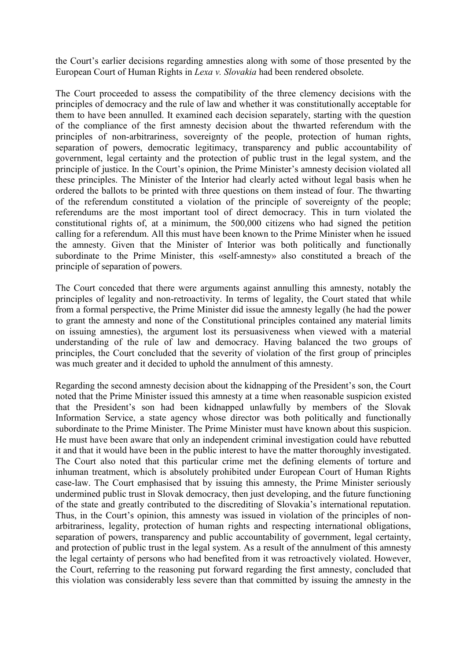the Court's earlier decisions regarding amnesties along with some of those presented by the European Court of Human Rights in *Lexa v. Slovakia* had been rendered obsolete.

The Court proceeded to assess the compatibility of the three clemency decisions with the principles of democracy and the rule of law and whether it was constitutionally acceptable for them to have been annulled. It examined each decision separately, starting with the question of the compliance of the first amnesty decision about the thwarted referendum with the principles of non-arbitrariness, sovereignty of the people, protection of human rights, separation of powers, democratic legitimacy, transparency and public accountability of government, legal certainty and the protection of public trust in the legal system, and the principle of justice. In the Court's opinion, the Prime Minister's amnesty decision violated all these principles. The Minister of the Interior had clearly acted without legal basis when he ordered the ballots to be printed with three questions on them instead of four. The thwarting of the referendum constituted a violation of the principle of sovereignty of the people; referendums are the most important tool of direct democracy. This in turn violated the constitutional rights of, at a minimum, the 500,000 citizens who had signed the petition calling for a referendum. All this must have been known to the Prime Minister when he issued the amnesty. Given that the Minister of Interior was both politically and functionally subordinate to the Prime Minister, this «self-amnesty» also constituted a breach of the principle of separation of powers.

The Court conceded that there were arguments against annulling this amnesty, notably the principles of legality and non-retroactivity. In terms of legality, the Court stated that while from a formal perspective, the Prime Minister did issue the amnesty legally (he had the power to grant the amnesty and none of the Constitutional principles contained any material limits on issuing amnesties), the argument lost its persuasiveness when viewed with a material understanding of the rule of law and democracy. Having balanced the two groups of principles, the Court concluded that the severity of violation of the first group of principles was much greater and it decided to uphold the annulment of this amnesty.

Regarding the second amnesty decision about the kidnapping of the President's son, the Court noted that the Prime Minister issued this amnesty at a time when reasonable suspicion existed that the President's son had been kidnapped unlawfully by members of the Slovak Information Service, a state agency whose director was both politically and functionally subordinate to the Prime Minister. The Prime Minister must have known about this suspicion. He must have been aware that only an independent criminal investigation could have rebutted it and that it would have been in the public interest to have the matter thoroughly investigated. The Court also noted that this particular crime met the defining elements of torture and inhuman treatment, which is absolutely prohibited under European Court of Human Rights case-law. The Court emphasised that by issuing this amnesty, the Prime Minister seriously undermined public trust in Slovak democracy, then just developing, and the future functioning of the state and greatly contributed to the discrediting of Slovakia's international reputation. Thus, in the Court's opinion, this amnesty was issued in violation of the principles of nonarbitrariness, legality, protection of human rights and respecting international obligations, separation of powers, transparency and public accountability of government, legal certainty, and protection of public trust in the legal system. As a result of the annulment of this amnesty the legal certainty of persons who had benefited from it was retroactively violated. However, the Court, referring to the reasoning put forward regarding the first amnesty, concluded that this violation was considerably less severe than that committed by issuing the amnesty in the